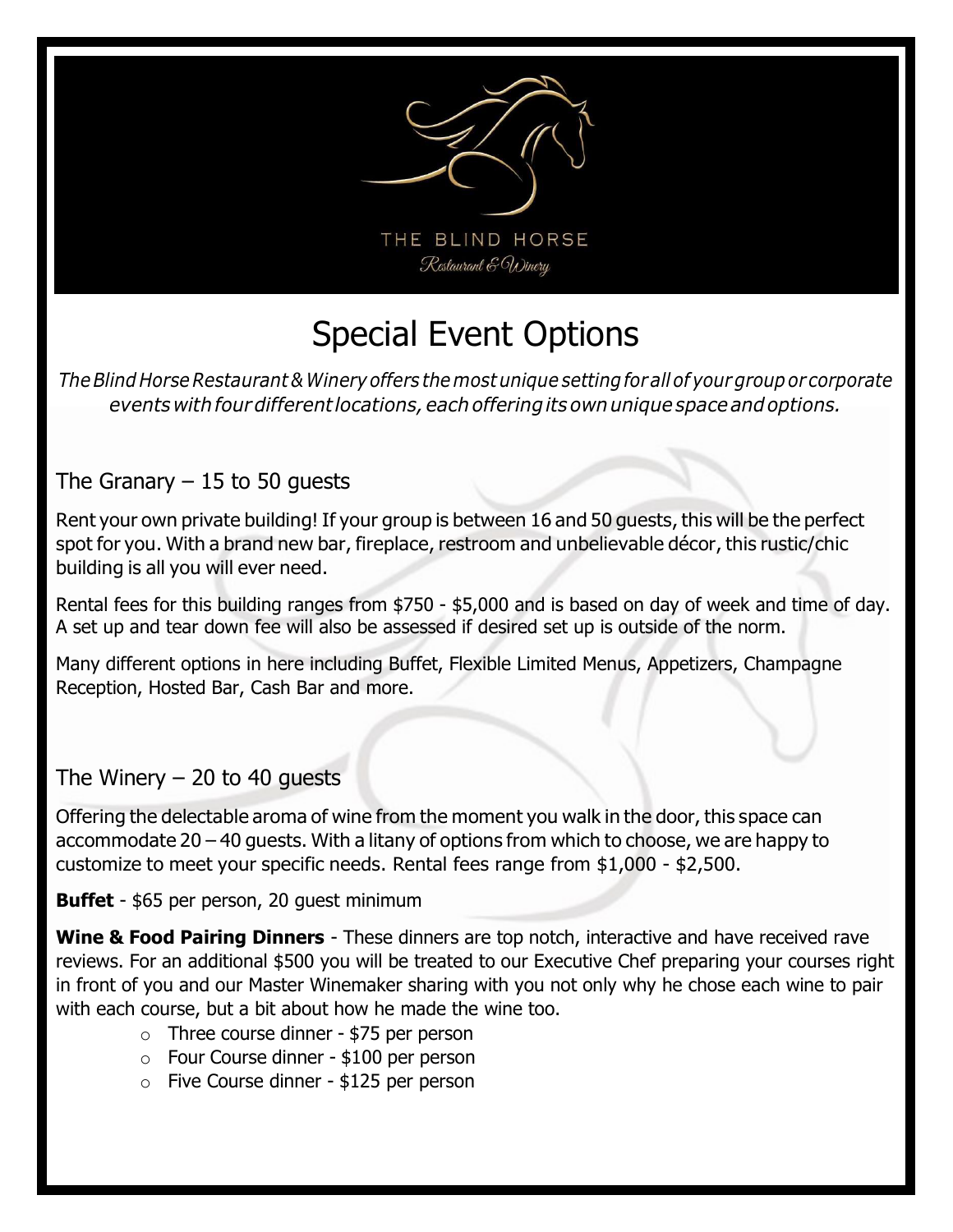

# Special Event Options

The Blind Horse Restaurant & Winery offers the most unique setting for all of your group or corporate events with four different locations, each offering its own unique space and options.

## The Granary  $-15$  to 50 guests

Rent your own private building! If your group is between 16 and 50 guests, this will be the perfect spot for you. With a brand new bar, fireplace, restroom and unbelievable décor, this rustic/chic building is all you will ever need.

Rental fees for this building ranges from \$750 - \$5,000 and is based on day of week and time of day. A set up and tear down fee will also be assessed if desired set up is outside of the norm.

Many different options in here including Buffet, Flexible Limited Menus, Appetizers, Champagne Reception, Hosted Bar, Cash Bar and more.

### The Winery  $-20$  to 40 quests

Offering the delectable aroma of wine from the moment you walk in the door, this space can accommodate 20 – 40 guests. With a litany of options from which to choose, we are happy to customize to meet your specific needs. Rental fees range from \$1,000 - \$2,500.

#### Buffet - \$65 per person, 20 guest minimum

Wine & Food Pairing Dinners - These dinners are top notch, interactive and have received rave reviews. For an additional \$500 you will be treated to our Executive Chef preparing your courses right in front of you and our Master Winemaker sharing with you not only why he chose each wine to pair with each course, but a bit about how he made the wine too.

- $\circ$  Three course dinner \$75 per person
- o Four Course dinner \$100 per person
- o Five Course dinner \$125 per person